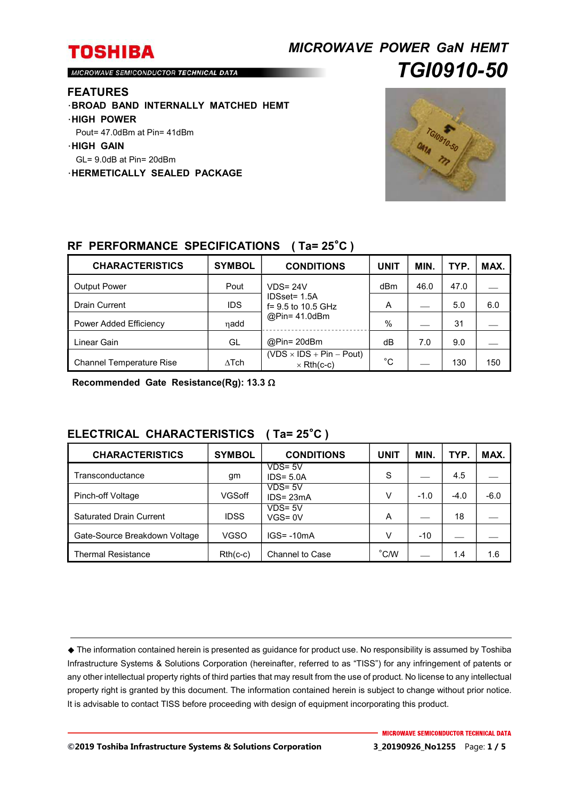## *MICROWAVE POWER GaN HEMT TGI0910-50*

MICROWAVE SEMICONDUCTOR TECHNICAL DATA

#### **FEATURES**

- ・**BROAD BAND INTERNALLY MATCHED HEMT**
- ・**HIGH POWER**
- Pout= 47.0dBm at Pin= 41dBm
- ・**HIGH GAIN**
- GL= 9.0dB at Pin= 20dBm
- ・**HERMETICALLY SEALED PACKAGE**



#### **RF PERFORMANCE SPECIFICATIONS ( Ta= 25**°**C )**

| <b>CHARACTERISTICS</b>          | <b>SYMBOL</b> | <b>CONDITIONS</b>                                    | UNIT | <b>MIN</b> | TYP. | MAX. |
|---------------------------------|---------------|------------------------------------------------------|------|------------|------|------|
| <b>Output Power</b>             | Pout          | $VDS = 24V$                                          | dBm  | 46.0       | 47.0 |      |
| <b>Drain Current</b>            | <b>IDS</b>    | IDSset= 1.5A<br>f= 9.5 to 10.5 GHz                   | А    |            | 5.0  | 6.0  |
| Power Added Efficiency          | ηadd          | @Pin= 41.0dBm                                        | $\%$ |            | 31   |      |
| Linear Gain                     | GL            | @Pin= 20dBm                                          | dB   | 7.0        | 9.0  |      |
| <b>Channel Temperature Rise</b> | $\Delta$ Tch  | $(VDS \times IDs + Pin - Pout)$<br>$\times$ Rth(c-c) | °С   |            | 130  | 150  |

**Recommended Gate Resistance(Rg): 13.3** 

### **ELECTRICAL CHARACTERISTICS ( Ta= 25**°**C )**

| <b>CHARACTERISTICS</b>        | <b>SYMBOL</b> | <b>CONDITIONS</b>          | <b>UNIT</b>    | <b>MIN</b> | TYP.   | MAX.   |
|-------------------------------|---------------|----------------------------|----------------|------------|--------|--------|
| Transconductance              | gm            | $VDS = 5V$<br>$IDS = 5.0A$ | S              |            | 4.5    |        |
| Pinch-off Voltage             | VGSoff        | VDS= 5V<br>$IDS = 23mA$    | V              | $-1.0$     | $-4.0$ | $-6.0$ |
| Saturated Drain Current       | <b>IDSS</b>   | $VDS = 5V$<br>VGS= 0V      | A              |            | 18     |        |
| Gate-Source Breakdown Voltage | <b>VGSO</b>   | $IGS = -10mA$              | V              | $-10$      |        |        |
| Thermal Resistance            | $Rth(c-c)$    | Channel to Case            | $^{\circ}$ C/W |            | 1.4    | 1.6    |

The information contained herein is presented as guidance for product use. No responsibility is assumed by Toshiba Infrastructure Systems & Solutions Corporation (hereinafter, referred to as "TISS") for any infringement of patents or any other intellectual property rights of third parties that may result from the use of product. No license to any intellectual property right is granted by this document. The information contained herein is subject to change without prior notice. It is advisable to contact TISS before proceeding with design of equipment incorporating this product.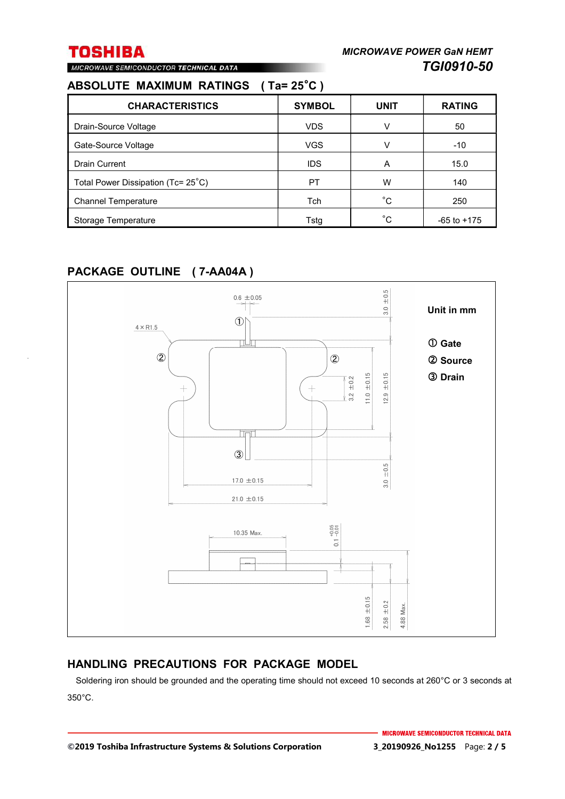# MICROWAVE SEMICONDUCTOR TECHNICAL DATA

| ABSOLUTE MAXIMUM RATINGS (Ta=25°C) |  |  |  |
|------------------------------------|--|--|--|
|                                    |  |  |  |

| <b>CHARACTERISTICS</b>             | <b>SYMBOL</b> | <b>UNIT</b> | <b>RATING</b>   |
|------------------------------------|---------------|-------------|-----------------|
| Drain-Source Voltage               | <b>VDS</b>    | v           | 50              |
| Gate-Source Voltage                | <b>VGS</b>    | v           | $-10$           |
| <b>Drain Current</b>               | <b>IDS</b>    | A           | 15.0            |
| Total Power Dissipation (Tc= 25°C) | PT            | w           | 140             |
| <b>Channel Temperature</b>         | Tch           | °С          | 250             |
| Storage Temperature                | Tstg          | °C          | $-65$ to $+175$ |

### **PACKAGE OUTLINE ( 7-AA04A )**



#### **HANDLING PRECAUTIONS FOR PACKAGE MODEL**

Soldering iron should be grounded and the operating time should not exceed 10 seconds at 260°C or 3 seconds at 350°C.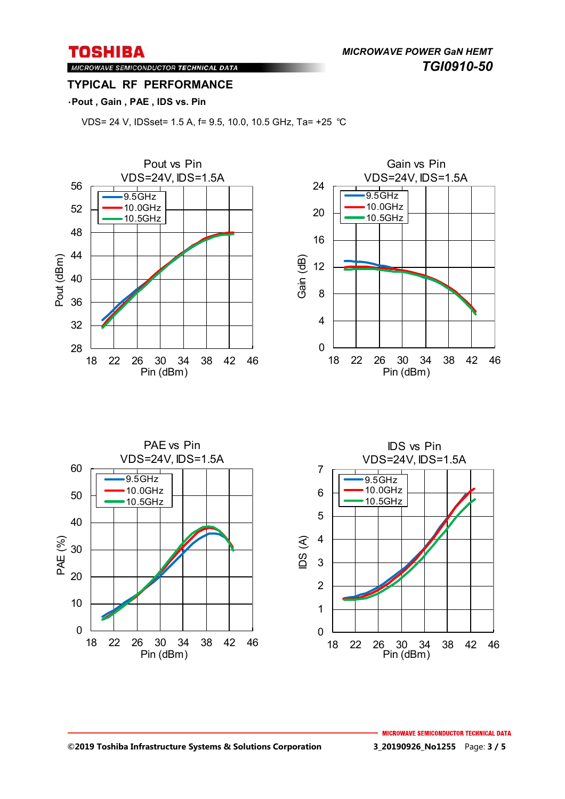*MICROWAVE POWER GaN HEMT TGI0910-50* 

MICROWAVE SEMICONDUCTOR TECHNICAL DATA **TYPICAL RF PERFORMANCE** 

#### ・**Pout , Gain , PAE , IDS vs. Pin**

VDS= 24 V, IDSset= 1.5 A, f= 9.5, 10.0, 10.5 GHz, Ta= +25 ℃

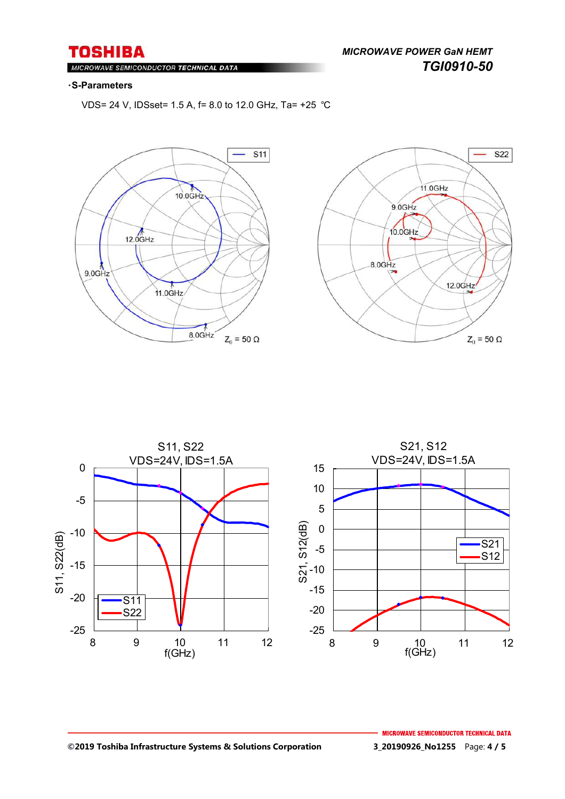$M<sub>1</sub>$ ROWAVE SEMICONDUCTOR TECHNICAL DATA

#### ・**S-Parameters**

VDS= 24 V, IDSset= 1.5 A, f= 8.0 to 12.0 GHz, Ta= +25 ℃